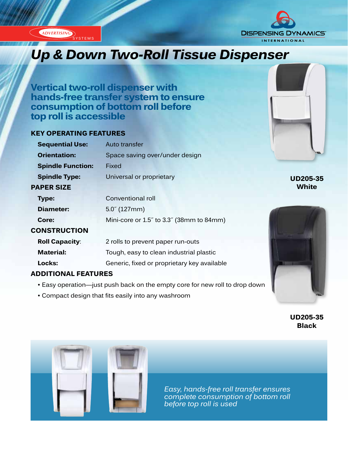**ADVERTISING** 



# *Up & Down Two-Roll Tissue Dispenser*

**Vertical two-roll dispenser with hands-free transfer system to ensure consumption of bottom roll before top roll is accessible**

# **KEY OPERATING FEATURES**

| <b>Sequential Use:</b>   | Auto transfer                               |
|--------------------------|---------------------------------------------|
| <b>Orientation:</b>      | Space saving over/under design              |
| <b>Spindle Function:</b> | Fixed                                       |
| <b>Spindle Type:</b>     | Universal or proprietary                    |
| <b>PAPER SIZE</b>        |                                             |
| <b>Type:</b>             | Conventional roll                           |
| Diameter:                | $5.0^{''}$ (127mm)                          |
| Core:                    | Mini-core or 1.5" to 3.3" (38mm to 84mm)    |
| <b>CONSTRUCTION</b>      |                                             |
| <b>Roll Capacity:</b>    | 2 rolls to prevent paper run-outs           |
| <b>Material:</b>         | Tough, easy to clean industrial plastic     |
| Locks:                   | Generic, fixed or proprietary key available |
|                          |                                             |

# **ADDITIONAL FEATURES**

- Easy operation—just push back on the empty core for new roll to drop down
- Compact design that fits easily into any washroom



**UD205-35 Black**



*Easy, hands-free roll transfer ensures complete consumption of bottom roll before top roll is used*